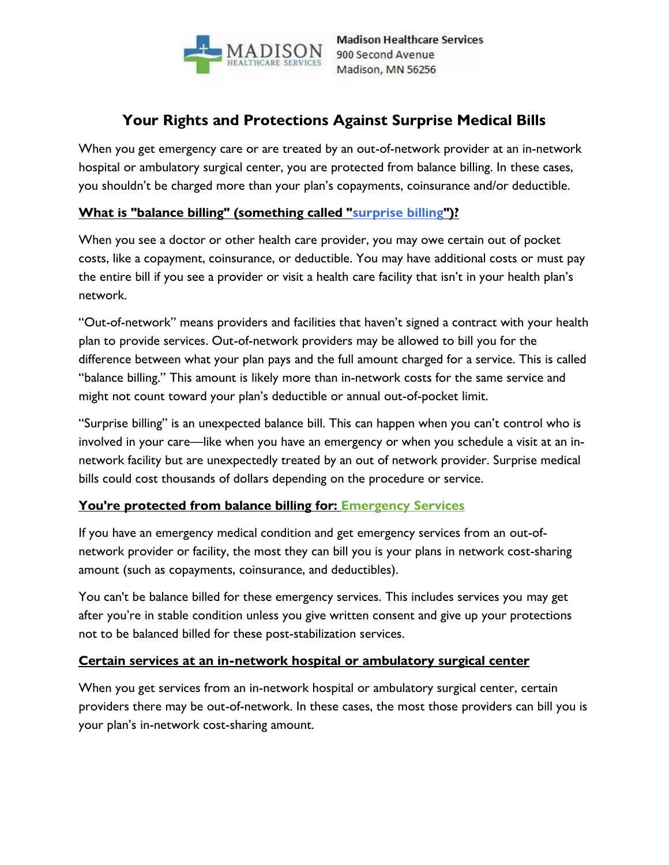

**Madison Healthcare Services** 900 Second Avenue Madison, MN 56256

# **Your Rights and Protections Against Surprise Medical Bills**

When you get emergency care or are treated by an out-of-network provider at an in-network hospital or ambulatory surgical center, you are protected from balance billing. In these cases, you shouldn't be charged more than your plan's copayments, coinsurance and/or deductible.

# **What is "balance billing" (something called "surprise billing")?**

When you see a doctor or other health care provider, you may owe certain out of pocket costs, like a copayment, coinsurance, or deductible. You may have additional costs or must pay the entire bill if you see a provider or visit a health care facility that isn't in your health plan's network.

"Out-of-network" means providers and facilities that haven't signed a contract with your health plan to provide services. Out-of-network providers may be allowed to bill you for the difference between what your plan pays and the full amount charged for a service. This is called "balance billing." This amount is likely more than in-network costs for the same service and might not count toward your plan's deductible or annual out-of-pocket limit.

"Surprise billing" is an unexpected balance bill. This can happen when you can't control who is involved in your care—like when you have an emergency or when you schedule a visit at an innetwork facility but are unexpectedly treated by an out of network provider. Surprise medical bills could cost thousands of dollars depending on the procedure or service.

### **You're protected from balance billing for: Emergency Services**

If you have an emergency medical condition and get emergency services from an out-ofnetwork provider or facility, the most they can bill you is your plans in network cost-sharing amount (such as copayments, coinsurance, and deductibles).

You can't be balance billed for these emergency services. This includes services you may get after you're in stable condition unless you give written consent and give up your protections not to be balanced billed for these post-stabilization services.

#### **Certain services at an in-network hospital or ambulatory surgical center**

When you get services from an in-network hospital or ambulatory surgical center, certain providers there may be out-of-network. In these cases, the most those providers can bill you is your plan's in-network cost-sharing amount.